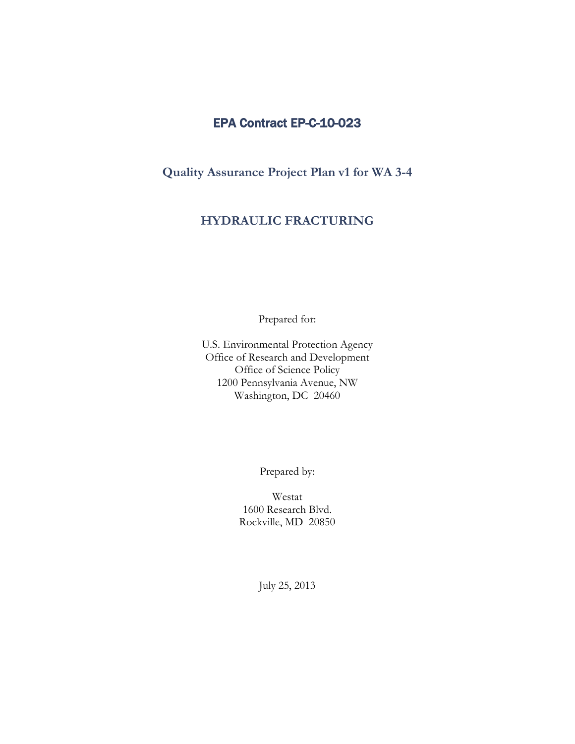# EPA Contract EP-C-10-023

 **Quality Assurance Project Plan v1 for WA 3-4** 

# **HYDRAULIC FRACTURING**

Prepared for:

U.S. Environmental Protection Agency Office of Research and Development Office of Science Policy 1200 Pennsylvania Avenue, NW Washington, DC 20460

Prepared by:

Westat 1600 Research Blvd. Rockville, MD 20850

July 25, 2013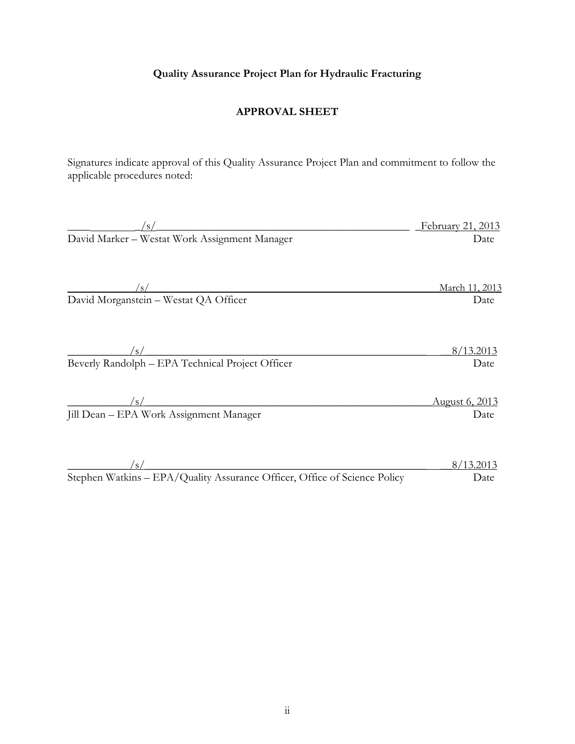# **Quality Assurance Project Plan for Hydraulic Fracturing**

#### **APPROVAL SHEET**

 Signatures indicate approval of this Quality Assurance Project Plan and commitment to follow the applicable procedures noted:

| $\mathcal{L}_{\rm S}$                                                     | February 21, 2013     |
|---------------------------------------------------------------------------|-----------------------|
| David Marker - Westat Work Assignment Manager                             | Date                  |
|                                                                           |                       |
|                                                                           |                       |
| /s/                                                                       | March 11, 2013        |
| David Morganstein - Westat QA Officer                                     | Date                  |
|                                                                           |                       |
|                                                                           |                       |
| $\mathcal{S}/\mathcal{S}$                                                 | 8/13.2013             |
| Beverly Randolph - EPA Technical Project Officer                          | Date                  |
|                                                                           |                       |
| /s/                                                                       | <u>August 6, 2013</u> |
| Jill Dean – EPA Work Assignment Manager                                   | Date                  |
|                                                                           |                       |
| /s/                                                                       | 8/13.2013             |
| Stephen Watkins - EPA/Quality Assurance Officer, Office of Science Policy |                       |
|                                                                           | Date                  |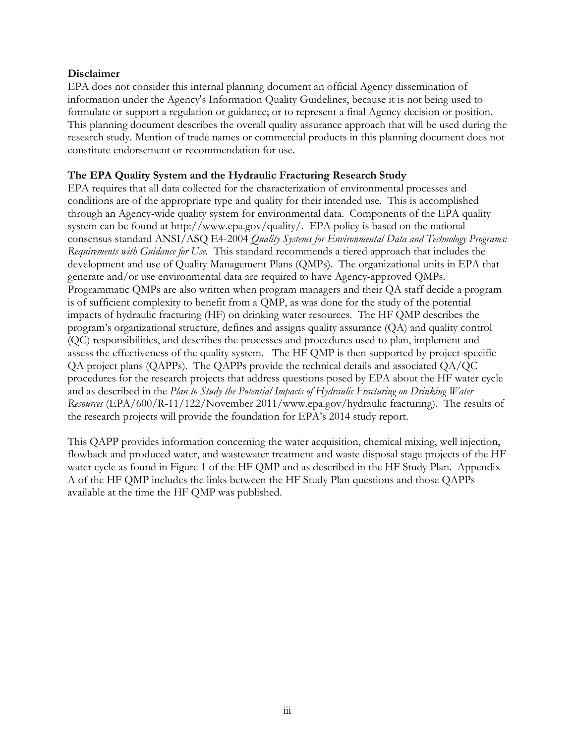#### **Disclaimer**

EPA does not consider this internal planning document an official Agency dissemination of information under the Agency's Information Quality Guidelines, because it is not being used to formulate or support a regulation or guidance; or to represent a final Agency decision or position. This planning document describes the overall quality assurance approach that will be used during the research study. Mention of trade names or commercial products in this planning document does not constitute endorsement or recommendation for use.

### **The EPA Quality System and the Hydraulic Fracturing Research Study**

 through an Agency-wide quality system for environmental data. Components of the EPA quality  consensus standard ANSI/ASQ E4-2004 *Quality Systems for Environmental Data and Technology Programs: Requirements with Guidance for Use*. This standard recommends a tiered approach that includes the generate and/or use environmental data are required to have Agency-approved QMPs. EPA requires that all data collected for the characterization of environmental processes and conditions are of the appropriate type and quality for their intended use. This is accomplished system can be found at [http://www.epa.gov/quality/. E](http://www.epa.gov/quality/)PA policy is based on the national development and use of Quality Management Plans (QMPs). The organizational units in EPA that Programmatic QMPs are also written when program managers and their QA staff decide a program is of sufficient complexity to benefit from a QMP, as was done for the study of the potential impacts of hydraulic fracturing (HF) on drinking water resources. The HF QMP describes the program's organizational structure, defines and assigns quality assurance (QA) and quality control (QC) responsibilities, and describes the processes and procedures used to plan, implement and assess the effectiveness of the quality system. The HF QMP is then supported by project-specific QA project plans (QAPPs). The QAPPs provide the technical details and associated QA/QC procedures for the research projects that address questions posed by EPA about the HF water cycle and as described in the *Plan to Study the Potential Impacts of Hydraulic Fracturing on Drinking Water Resources* (EPA/600/R-11/122/November 2011[/www.epa.gov/hydraulic fra](http://www.epa.gov/hydraulic)cturing). The results of the research projects will provide the foundation for EPA's 2014 study report.

 flowback and produced water, and wastewater treatment and waste disposal stage projects of the HF This QAPP provides information concerning the water acquisition, chemical mixing, well injection, water cycle as found in Figure 1 of the HF QMP and as described in the HF Study Plan. Appendix A of the HF QMP includes the links between the HF Study Plan questions and those QAPPs available at the time the HF QMP was published.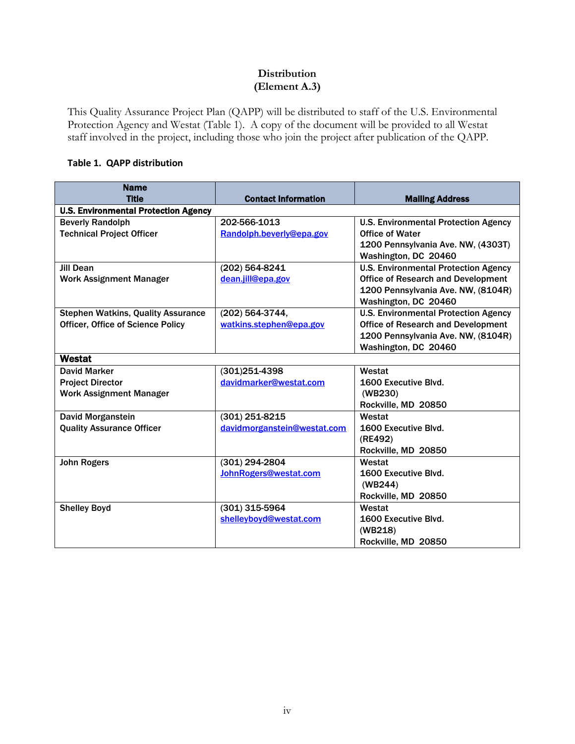#### **Distribution (Element A.3)**

<span id="page-3-0"></span> staff involved in the project, including those who join the project after publication of the QAPP. This Quality Assurance Project Plan (QAPP) will be distributed to staff of the U.S. Environmental Protection Agency and Westat (Table 1). A copy of the document will be provided to all Westat

#### **Table 1. QAPP distribution**

| <b>Name</b>                                 |                             |                                             |
|---------------------------------------------|-----------------------------|---------------------------------------------|
| <b>Title</b>                                | <b>Contact Information</b>  | <b>Mailing Address</b>                      |
| <b>U.S. Environmental Protection Agency</b> |                             |                                             |
| <b>Beverly Randolph</b>                     | 202-566-1013                | <b>U.S. Environmental Protection Agency</b> |
| <b>Technical Project Officer</b>            | Randolph.beverly@epa.gov    | <b>Office of Water</b>                      |
|                                             |                             | 1200 Pennsylvania Ave. NW, (4303T)          |
|                                             |                             | Washington, DC 20460                        |
| <b>Jill Dean</b>                            | (202) 564-8241              | <b>U.S. Environmental Protection Agency</b> |
| <b>Work Assignment Manager</b>              | dean.jill@epa.gov           | <b>Office of Research and Development</b>   |
|                                             |                             | 1200 Pennsylvania Ave. NW, (8104R)          |
|                                             |                             | Washington, DC 20460                        |
| <b>Stephen Watkins, Quality Assurance</b>   | (202) 564-3744,             | <b>U.S. Environmental Protection Agency</b> |
| <b>Officer, Office of Science Policy</b>    | watkins.stephen@epa.gov     | <b>Office of Research and Development</b>   |
|                                             |                             | 1200 Pennsylvania Ave. NW, (8104R)          |
|                                             |                             | Washington, DC 20460                        |
| Westat                                      |                             |                                             |
| <b>David Marker</b>                         | $(301)251 - 4398$           | Westat                                      |
| <b>Project Director</b>                     | davidmarker@westat.com      | 1600 Executive Blvd.                        |
| <b>Work Assignment Manager</b>              |                             | (WB230)                                     |
|                                             |                             | Rockville, MD 20850                         |
| <b>David Morganstein</b>                    | $(301)$ 251-8215            | Westat                                      |
| <b>Quality Assurance Officer</b>            | davidmorganstein@westat.com | 1600 Executive Blvd.                        |
|                                             |                             | (RE492)                                     |
|                                             |                             | Rockville, MD 20850                         |
| <b>John Rogers</b>                          | (301) 294-2804              | Westat                                      |
|                                             | JohnRogers@westat.com       | 1600 Executive Blvd.                        |
|                                             |                             | (WB244)                                     |
|                                             |                             | Rockville, MD 20850                         |
| <b>Shelley Boyd</b>                         | $(301)$ 315-5964            | Westat                                      |
|                                             | shelleyboyd@westat.com      | 1600 Executive Blvd.                        |
|                                             |                             | (WB218)                                     |
|                                             |                             | Rockville, MD 20850                         |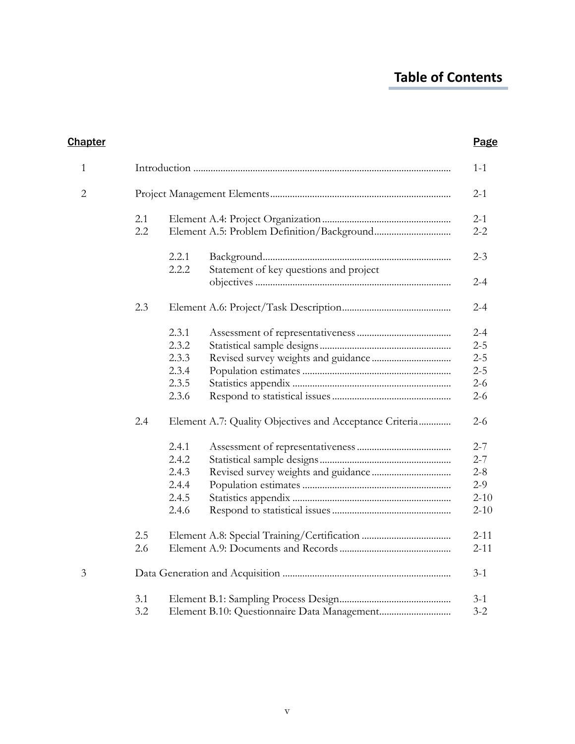# **Table of Contents**

| 1              |            |                |                                                         | $1 - 1$            |
|----------------|------------|----------------|---------------------------------------------------------|--------------------|
| $\overline{2}$ |            |                |                                                         | $2-1$              |
|                | 2.1<br>2.2 |                |                                                         | $2 - 1$<br>$2 - 2$ |
|                |            | 2.2.1<br>2.2.2 | Statement of key questions and project                  | $2 - 3$            |
|                |            |                |                                                         | $2 - 4$            |
|                | 2.3        |                |                                                         | $2 - 4$            |
|                |            | 2.3.1          |                                                         | $2 - 4$            |
|                |            | 2.3.2          |                                                         | $2 - 5$            |
|                |            | 2.3.3          |                                                         | $2 - 5$            |
|                |            | 2.3.4          |                                                         | $2 - 5$            |
|                |            | 2.3.5          |                                                         | $2 - 6$            |
|                |            | 2.3.6          |                                                         | $2 - 6$            |
|                | 2.4        |                | Element A.7: Quality Objectives and Acceptance Criteria | $2 - 6$            |
|                |            | 2.4.1          |                                                         | $2 - 7$            |
|                |            | 2.4.2          |                                                         | $2 - 7$            |
|                |            | 2.4.3          |                                                         | $2 - 8$            |
|                |            | 2.4.4          |                                                         | $2-9$              |
|                |            | 2.4.5          |                                                         | $2 - 10$           |
|                |            | 2.4.6          |                                                         | $2 - 10$           |
|                | 2.5        |                |                                                         | $2 - 11$           |
|                | 2.6        |                |                                                         | $2 - 11$           |
| 3              |            |                |                                                         | $3-1$              |
|                | 3.1        |                |                                                         | $3 - 1$            |
|                | 3.2        |                |                                                         | $3 - 2$            |

**Chapter Chapter Page**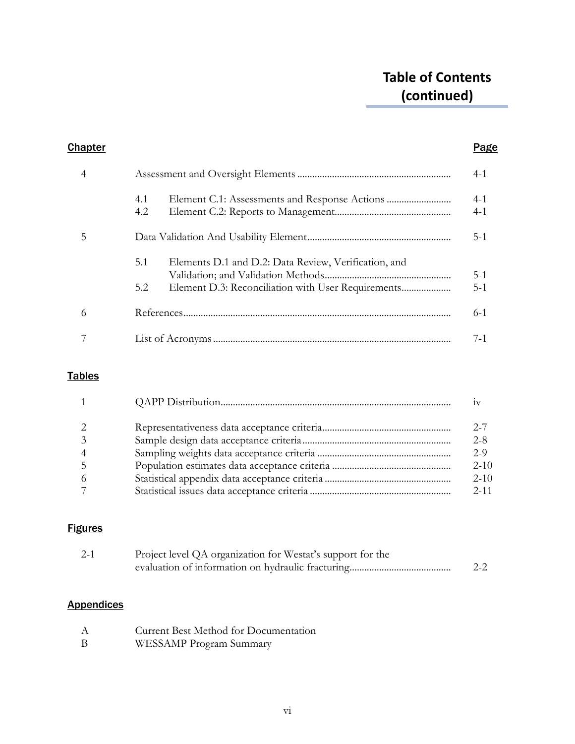# **Table of Contents (continued)**

# **Chapter Chapter Page** [4 Assessment and Oversight Elements .............................................................. 4-1](#page-22-0) 4.1 [Element C.1: Assessments and Response Actions .......................... 4-1](#page-22-0) [4.2 Element C.2: Reports to Management............................................... 4-1](#page-22-0) [5 Data Validation And Usability Element.......................................................... 5-1](#page-23-0) 5.1 Elements D.1 and D.2: Data Review, Verification, and [Validation; and Validation Methods................................................... 5-1](#page-23-0) [5.2 Element D.3: Reconciliation with User Requirements.................... 5-1](#page-23-0) [6 References............................................................................................................ 6-1](#page-25-0) 7 List of Acronyms ................................................................................................ 7-1

# Tables

| $\mathbf{1}$   |          |
|----------------|----------|
| $\mathcal{L}$  | $2 - 7$  |
| 3              | $2 - 8$  |
| $\overline{4}$ | $2-9$    |
| -5             | $2 - 10$ |
| -6             | $2 - 10$ |
|                | $2 - 11$ |

# **Figures**

| $2 - 1$ | Project level QA organization for Westat's support for the |         |
|---------|------------------------------------------------------------|---------|
|         |                                                            | $2 - 2$ |

# **Appendices**

| A | Current Best Method for Documentation |
|---|---------------------------------------|
| В | WESSAMP Program Summary               |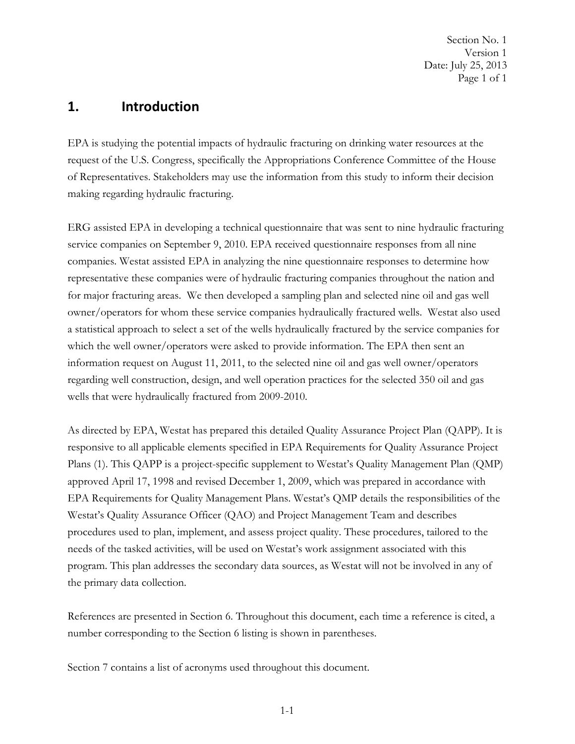Page 1 of 1 Section No. 1 Version 1 Date: July 25, 2013

# <span id="page-6-0"></span>**1. Introduction**

 of Representatives. Stakeholders may use the information from this study to inform their decision EPA is studying the potential impacts of hydraulic fracturing on drinking water resources at the request of the U.S. Congress, specifically the Appropriations Conference Committee of the House making regarding hydraulic fracturing.

 representative these companies were of hydraulic fracturing companies throughout the nation and which the well owner/operators were asked to provide information. The EPA then sent an ERG assisted EPA in developing a technical questionnaire that was sent to nine hydraulic fracturing service companies on September 9, 2010. EPA received questionnaire responses from all nine companies. Westat assisted EPA in analyzing the nine questionnaire responses to determine how for major fracturing areas. We then developed a sampling plan and selected nine oil and gas well owner/operators for whom these service companies hydraulically fractured wells. Westat also used a statistical approach to select a set of the wells hydraulically fractured by the service companies for information request on August 11, 2011, to the selected nine oil and gas well owner/operators regarding well construction, design, and well operation practices for the selected 350 oil and gas wells that were hydraulically fractured from 2009-2010.

As directed by EPA, Westat has prepared this detailed Quality Assurance Project Plan (QAPP). It is responsive to all applicable elements specified in EPA Requirements for Quality Assurance Project Plans (1). This QAPP is a project-specific supplement to Westat's Quality Management Plan (QMP) approved April 17, 1998 and revised December 1, 2009, which was prepared in accordance with EPA Requirements for Quality Management Plans. Westat's QMP details the responsibilities of the Westat's Quality Assurance Officer (QAO) and Project Management Team and describes procedures used to plan, implement, and assess project quality. These procedures, tailored to the needs of the tasked activities, will be used on Westat's work assignment associated with this program. This plan addresses the secondary data sources, as Westat will not be involved in any of the primary data collection.

References are presented in Section 6. Throughout this document, each time a reference is cited, a number corresponding to the Section 6 listing is shown in parentheses.

Section 7 contains a list of acronyms used throughout this document.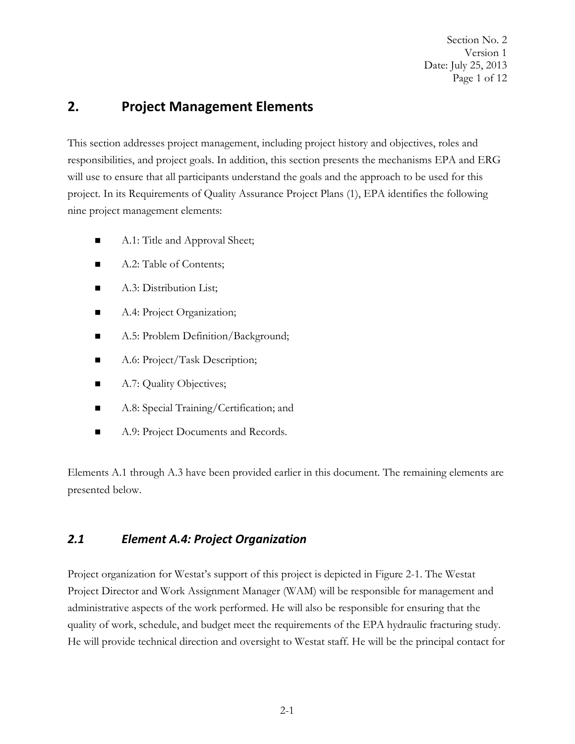Date: July 25, 2013 Page 1 of 12 Section No. 2 Version 1

# <span id="page-7-0"></span>**2. Project Management Elements**

This section addresses project management, including project history and objectives, roles and responsibilities, and project goals. In addition, this section presents the mechanisms EPA and ERG will use to ensure that all participants understand the goals and the approach to be used for this project. In its Requirements of Quality Assurance Project Plans (1), EPA identifies the following nine project management elements:

- A.1: Title and Approval Sheet;
- A.2: Table of Contents;
- A.3: Distribution List;
- A.4: Project Organization;
- A.5: Problem Definition/Background;
- A.6: Project/Task Description;
- A.7: Quality Objectives;
- A.8: Special Training/Certification; and
- A.9: Project Documents and Records.

Elements A.1 through A.3 have been provided earlier in this document. The remaining elements are presented below.

#### *2.1 Element A.4: Project Organization*

Project organization for Westat's support of this project is depicted in Figure 2-1. The Westat Project Director and Work Assignment Manager (WAM) will be responsible for management and administrative aspects of the work performed. He will also be responsible for ensuring that the quality of work, schedule, and budget meet the requirements of the EPA hydraulic fracturing study. He will provide technical direction and oversight to Westat staff. He will be the principal contact for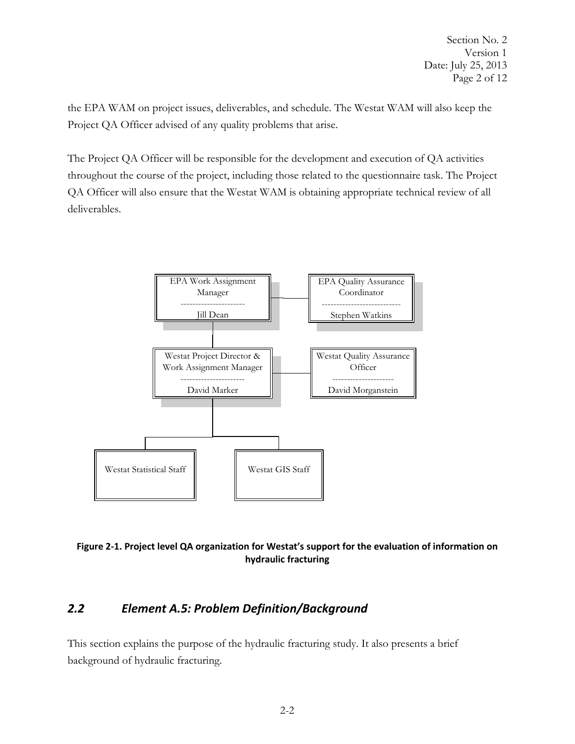<span id="page-8-0"></span>the EPA WAM on project issues, deliverables, and schedule. The Westat WAM will also keep the Project QA Officer advised of any quality problems that arise.

The Project QA Officer will be responsible for the development and execution of QA activities throughout the course of the project, including those related to the questionnaire task. The Project QA Officer will also ensure that the Westat WAM is obtaining appropriate technical review of all deliverables.





#### *Element A.5: Problem Definition/Background 2.2*

This section explains the purpose of the hydraulic fracturing study. It also presents a brief background of hydraulic fracturing.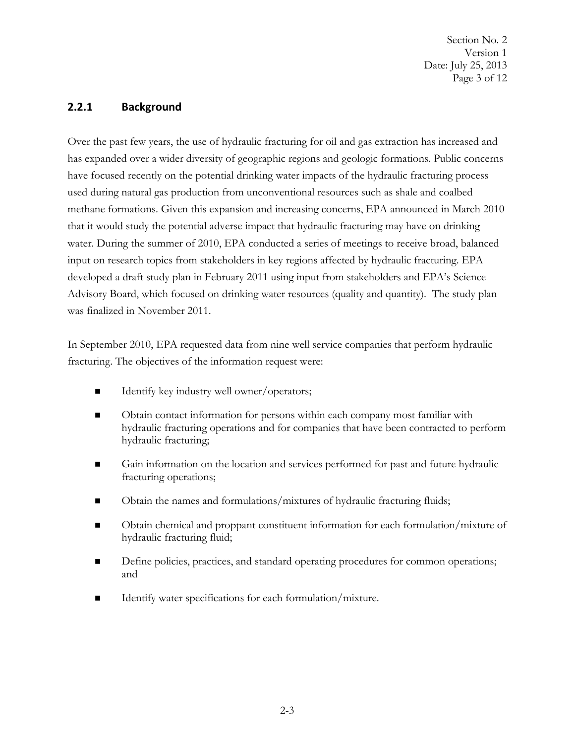Date: July 25, 2013 Page 3 of 12 Section No. 2 Version 1

### <span id="page-9-0"></span>**2.2.1 Background**

 developed a draft study plan in February 2011 using input from stakeholders and EPA's Science Advisory Board, which focused on drinking water resources (quality and quantity). The study plan Over the past few years, the use of hydraulic fracturing for oil and gas extraction has increased and has expanded over a wider diversity of geographic regions and geologic formations. Public concerns have focused recently on the potential drinking water impacts of the hydraulic fracturing process used during natural gas production from unconventional resources such as shale and coalbed methane formations. Given this expansion and increasing concerns, EPA announced in March 2010 that it would study the potential adverse impact that hydraulic fracturing may have on drinking water. During the summer of 2010, EPA conducted a series of meetings to receive broad, balanced input on research topics from stakeholders in key regions affected by hydraulic fracturing. EPA was finalized in November 2011.

 In September 2010, EPA requested data from nine well service companies that perform hydraulic fracturing. The objectives of the information request were:

- Identify key industry well owner/operators;
- Obtain contact information for persons within each company most familiar with hydraulic fracturing operations and for companies that have been contracted to perform hydraulic fracturing;
- Gain information on the location and services performed for past and future hydraulic fracturing operations;
- Dubtain the names and formulations/mixtures of hydraulic fracturing fluids;
- Obtain chemical and proppant constituent information for each formulation/mixture of hydraulic fracturing fluid;
- Define policies, practices, and standard operating procedures for common operations; and
- Identify water specifications for each formulation/mixture.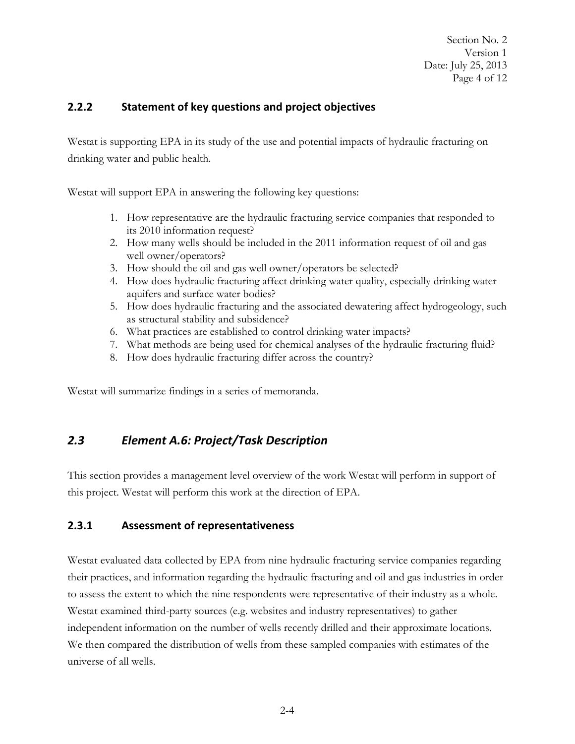Date: July 25, 2013 Page 4 of 12 Section No. 2 Version 1

# <span id="page-10-0"></span>**2.2.2 Statement of key questions and project objectives**

 drinking water and public health. Westat is supporting EPA in its study of the use and potential impacts of hydraulic fracturing on

Westat will support EPA in answering the following key questions:

- 1. How representative are the hydraulic fracturing service companies that responded to its 2010 information request?
- 2. How many wells should be included in the 2011 information request of oil and gas well owner/operators?
- 3. How should the oil and gas well owner/operators be selected?
- 4. How does hydraulic fracturing affect drinking water quality, especially drinking water aquifers and surface water bodies?
- 5. How does hydraulic fracturing and the associated dewatering affect hydrogeology, such as structural stability and subsidence?
- 6. What practices are established to control drinking water impacts?
- 7. What methods are being used for chemical analyses of the hydraulic fracturing fluid?
- 8. How does hydraulic fracturing differ across the country?

Westat will summarize findings in a series of memoranda.

# *2.3 Element A.6: Project/Task Description*

This section provides a management level overview of the work Westat will perform in support of this project. Westat will perform this work at the direction of EPA.

# **2.3.1 Assessment of representativeness**

 Westat evaluated data collected by EPA from nine hydraulic fracturing service companies regarding to assess the extent to which the nine respondents were representative of their industry as a whole. independent information on the number of wells recently drilled and their approximate locations. We then compared the distribution of wells from these sampled companies with estimates of the We then compared the distribution of wells from these sampled companies with estimates of the their practices, and information regarding the hydraulic fracturing and oil and gas industries in order Westat examined third-party sources (e.g. websites and industry representatives) to gather universe of all wells.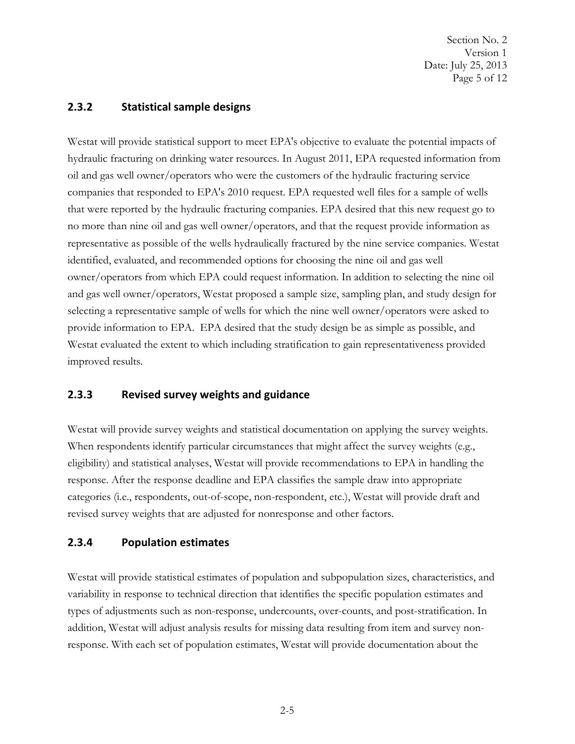Date: July 25, 2013 Page 5 of 12 Section No. 2 Version 1

### <span id="page-11-0"></span>**2.3.2 Statistical sample designs**

 oil and gas well owner/operators who were the customers of the hydraulic fracturing service no more than nine oil and gas well owner/operators, and that the request provide information as improved results. Westat will provide statistical support to meet EPA's objective to evaluate the potential impacts of hydraulic fracturing on drinking water resources. In August 2011, EPA requested information from companies that responded to EPA's 2010 request. EPA requested well files for a sample of wells that were reported by the hydraulic fracturing companies. EPA desired that this new request go to representative as possible of the wells hydraulically fractured by the nine service companies. Westat identified, evaluated, and recommended options for choosing the nine oil and gas well owner/operators from which EPA could request information. In addition to selecting the nine oil and gas well owner/operators, Westat proposed a sample size, sampling plan, and study design for selecting a representative sample of wells for which the nine well owner/operators were asked to provide information to EPA. EPA desired that the study design be as simple as possible, and Westat evaluated the extent to which including stratification to gain representativeness provided

#### **2.3.3 Revised survey weights and guidance**

 response. After the response deadline and EPA classifies the sample draw into appropriate revised survey weights that are adjusted for nonresponse and other factors. Westat will provide survey weights and statistical documentation on applying the survey weights. When respondents identify particular circumstances that might affect the survey weights (e.g., eligibility) and statistical analyses, Westat will provide recommendations to EPA in handling the categories (i.e., respondents, out-of-scope, non-respondent, etc.), Westat will provide draft and

# **2.3.4 Population estimates**

Westat will provide statistical estimates of population and subpopulation sizes, characteristics, and variability in response to technical direction that identifies the specific population estimates and types of adjustments such as non-response, undercounts, over-counts, and post-stratification. In addition, Westat will adjust analysis results for missing data resulting from item and survey nonresponse. With each set of population estimates, Westat will provide documentation about the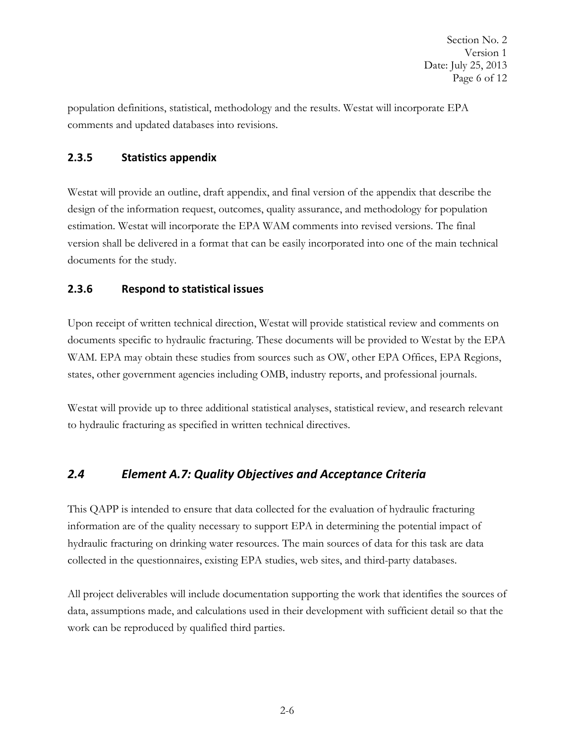<span id="page-12-0"></span> comments and updated databases into revisions. population definitions, statistical, methodology and the results. Westat will incorporate EPA

# **2.3.5 Statistics appendix**

 estimation. Westat will incorporate the EPA WAM comments into revised versions. The final documents for the study. Westat will provide an outline, draft appendix, and final version of the appendix that describe the design of the information request, outcomes, quality assurance, and methodology for population version shall be delivered in a format that can be easily incorporated into one of the main technical

# **2.3.6 Respond to statistical issues**

 WAM. EPA may obtain these studies from sources such as OW, other EPA Offices, EPA Regions, states, other government agencies including OMB, industry reports, and professional journals. Upon receipt of written technical direction, Westat will provide statistical review and comments on documents specific to hydraulic fracturing. These documents will be provided to Westat by the EPA

Westat will provide up to three additional statistical analyses, statistical review, and research relevant to hydraulic fracturing as specified in written technical directives.

# *2.4 Element A.7: Quality Objectives and Acceptance Criteria*

This QAPP is intended to ensure that data collected for the evaluation of hydraulic fracturing information are of the quality necessary to support EPA in determining the potential impact of hydraulic fracturing on drinking water resources. The main sources of data for this task are data collected in the questionnaires, existing EPA studies, web sites, and third-party databases.

All project deliverables will include documentation supporting the work that identifies the sources of data, assumptions made, and calculations used in their development with sufficient detail so that the work can be reproduced by qualified third parties.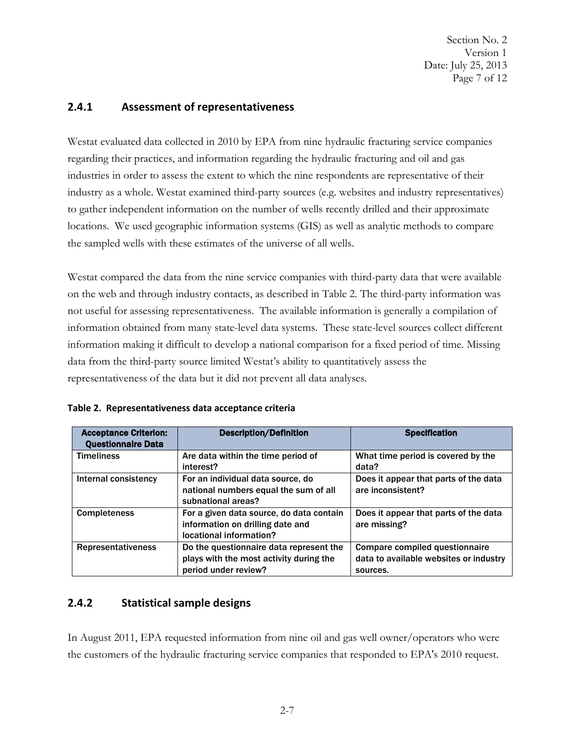Date: July 25, 2013 Page 7 of 12 Section No. 2 Version 1

#### <span id="page-13-0"></span>**2.4.1 Assessment of representativeness**

 Westat evaluated data collected in 2010 by EPA from nine hydraulic fracturing service companies industries in order to assess the extent to which the nine respondents are representative of their locations. We used geographic information systems (GIS) as well as analytic methods to compare regarding their practices, and information regarding the hydraulic fracturing and oil and gas industry as a whole. Westat examined third-party sources (e.g. websites and industry representatives) to gather independent information on the number of wells recently drilled and their approximate the sampled wells with these estimates of the universe of all wells.

 Westat compared the data from the nine service companies with third-party data that were available on the web and through industry contacts, as described in Table 2. The third-party information was information obtained from many state-level data systems. These state-level sources collect different representativeness of the data but it did not prevent all data analyses. not useful for assessing representativeness. The available information is generally a compilation of information making it difficult to develop a national comparison for a fixed period of time. Missing data from the third-party source limited Westat's ability to quantitatively assess the

| <b>Acceptance Criterion:</b><br><b>Questionnaire Data</b> | <b>Description/Definition</b>                                                                              | <b>Specification</b>                                                                        |
|-----------------------------------------------------------|------------------------------------------------------------------------------------------------------------|---------------------------------------------------------------------------------------------|
| <b>Timeliness</b>                                         | Are data within the time period of<br>interest?                                                            | What time period is covered by the<br>data?                                                 |
| Internal consistency                                      | For an individual data source, do<br>national numbers equal the sum of all<br>subnational areas?           | Does it appear that parts of the data<br>are inconsistent?                                  |
| <b>Completeness</b>                                       | For a given data source, do data contain<br>information on drilling date and<br>locational information?    | Does it appear that parts of the data<br>are missing?                                       |
| <b>Representativeness</b>                                 | Do the questionnaire data represent the<br>plays with the most activity during the<br>period under review? | <b>Compare compiled questionnaire</b><br>data to available websites or industry<br>sources. |

| Table 2. Representativeness data acceptance criteria |  |
|------------------------------------------------------|--|
|------------------------------------------------------|--|

# **2.4.2 Statistical sample designs**

 In August 2011, EPA requested information from nine oil and gas well owner/operators who were the customers of the hydraulic fracturing service companies that responded to EPA's 2010 request.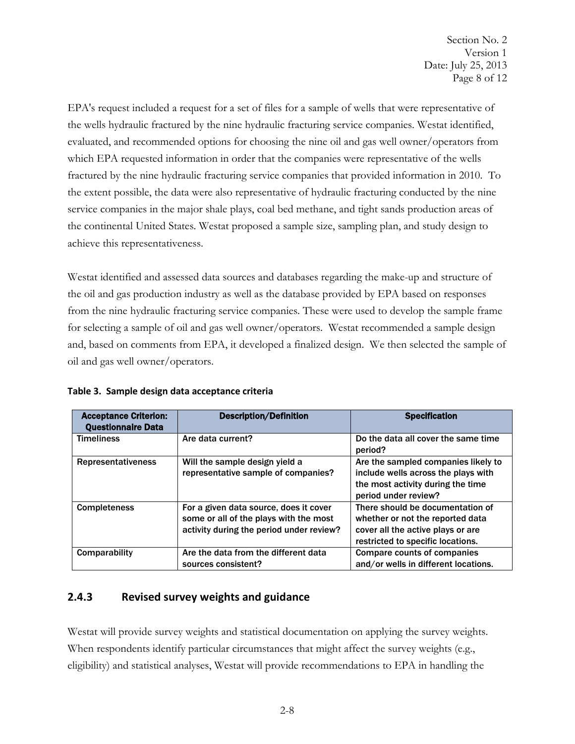<span id="page-14-0"></span> the wells hydraulic fractured by the nine hydraulic fracturing service companies. Westat identified, evaluated, and recommended options for choosing the nine oil and gas well owner/operators from which EPA requested information in order that the companies were representative of the wells EPA's request included a request for a set of files for a sample of wells that were representative of fractured by the nine hydraulic fracturing service companies that provided information in 2010. To the extent possible, the data were also representative of hydraulic fracturing conducted by the nine service companies in the major shale plays, coal bed methane, and tight sands production areas of the continental United States. Westat proposed a sample size, sampling plan, and study design to achieve this representativeness.

 and, based on comments from EPA, it developed a finalized design. We then selected the sample of Westat identified and assessed data sources and databases regarding the make-up and structure of the oil and gas production industry as well as the database provided by EPA based on responses from the nine hydraulic fracturing service companies. These were used to develop the sample frame for selecting a sample of oil and gas well owner/operators. Westat recommended a sample design oil and gas well owner/operators.

| <b>Acceptance Criterion:</b><br><b>Questionnaire Data</b> | <b>Description/Definition</b>                                                                                                | <b>Specification</b>                                                                                                                           |
|-----------------------------------------------------------|------------------------------------------------------------------------------------------------------------------------------|------------------------------------------------------------------------------------------------------------------------------------------------|
| <b>Timeliness</b>                                         | Are data current?                                                                                                            | Do the data all cover the same time<br>period?                                                                                                 |
| <b>Representativeness</b>                                 | Will the sample design yield a<br>representative sample of companies?                                                        | Are the sampled companies likely to<br>include wells across the plays with<br>the most activity during the time<br>period under review?        |
| <b>Completeness</b>                                       | For a given data source, does it cover<br>some or all of the plays with the most<br>activity during the period under review? | There should be documentation of<br>whether or not the reported data<br>cover all the active plays or are<br>restricted to specific locations. |
| Comparability                                             | Are the data from the different data<br>sources consistent?                                                                  | <b>Compare counts of companies</b><br>and/or wells in different locations.                                                                     |

| Table 3. Sample design data acceptance criteria |  |
|-------------------------------------------------|--|
|                                                 |  |

# **2.4.3 Revised survey weights and guidance**

Westat will provide survey weights and statistical documentation on applying the survey weights. When respondents identify particular circumstances that might affect the survey weights (e.g., eligibility) and statistical analyses, Westat will provide recommendations to EPA in handling the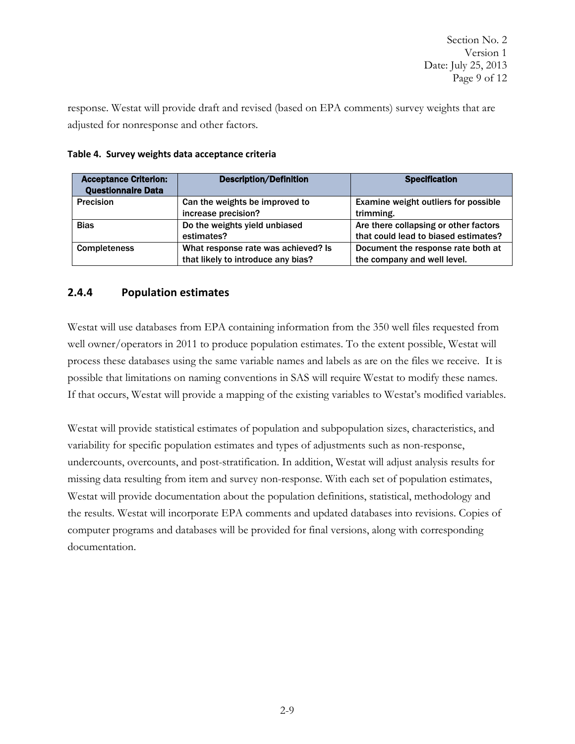<span id="page-15-0"></span> adjusted for nonresponse and other factors. response. Westat will provide draft and revised (based on EPA comments) survey weights that are

| <b>Acceptance Criterion:</b><br><b>Questionnaire Data</b> | <b>Description/Definition</b>       | <b>Specification</b>                  |
|-----------------------------------------------------------|-------------------------------------|---------------------------------------|
| <b>Precision</b>                                          | Can the weights be improved to      | Examine weight outliers for possible  |
|                                                           | increase precision?                 | trimming.                             |
| <b>Bias</b>                                               | Do the weights yield unbiased       | Are there collapsing or other factors |
|                                                           | estimates?                          | that could lead to biased estimates?  |
| <b>Completeness</b>                                       | What response rate was achieved? Is | Document the response rate both at    |
|                                                           | that likely to introduce any bias?  | the company and well level.           |

#### **Table 4. Survey weights data acceptance criteria**

# **2.4.4 Population estimates**

possible that limitations on naming conventions in SAS will require Westat to modify these names. Westat will use databases from EPA containing information from the 350 well files requested from well owner/operators in 2011 to produce population estimates. To the extent possible, Westat will process these databases using the same variable names and labels as are on the files we receive. It is If that occurs, Westat will provide a mapping of the existing variables to Westat's modified variables.

Westat will provide statistical estimates of population and subpopulation sizes, characteristics, and variability for specific population estimates and types of adjustments such as non-response, undercounts, overcounts, and post-stratification. In addition, Westat will adjust analysis results for missing data resulting from item and survey non-response. With each set of population estimates, Westat will provide documentation about the population definitions, statistical, methodology and the results. Westat will incorporate EPA comments and updated databases into revisions. Copies of computer programs and databases will be provided for final versions, along with corresponding documentation.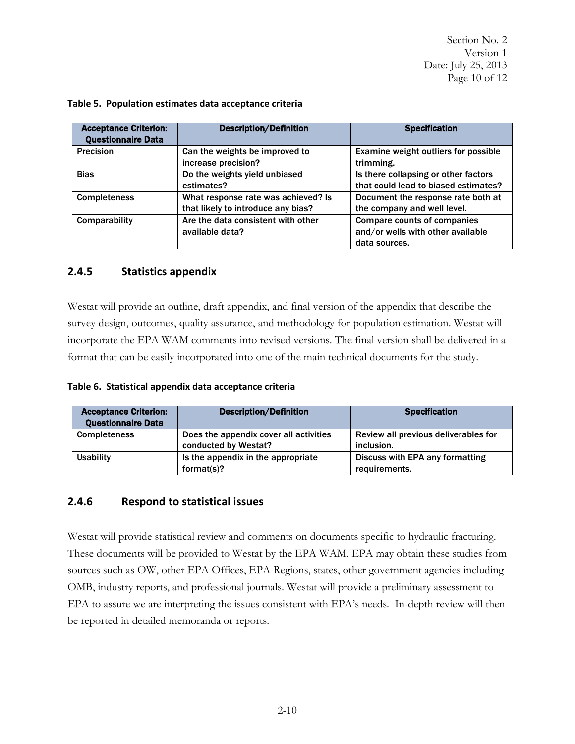Date: July 25, 2013 Page 10 of 12 Section No. 2 Version 1

| <b>Acceptance Criterion:</b><br><b>Questionnaire Data</b> | <b>Description/Definition</b>       | <b>Specification</b>                 |
|-----------------------------------------------------------|-------------------------------------|--------------------------------------|
| <b>Precision</b>                                          | Can the weights be improved to      | Examine weight outliers for possible |
|                                                           | increase precision?                 | trimming.                            |
| <b>Bias</b>                                               | Do the weights yield unbiased       | Is there collapsing or other factors |
|                                                           | estimates?                          | that could lead to biased estimates? |
| <b>Completeness</b>                                       | What response rate was achieved? Is | Document the response rate both at   |
|                                                           | that likely to introduce any bias?  | the company and well level.          |
| Comparability                                             | Are the data consistent with other  | <b>Compare counts of companies</b>   |
|                                                           | available data?                     | and/or wells with other available    |
|                                                           |                                     | data sources.                        |

#### <span id="page-16-0"></span> **Table 5. Population estimates data acceptance criteria**

# **2.4.5 Statistics appendix**

 incorporate the EPA WAM comments into revised versions. The final version shall be delivered in a Westat will provide an outline, draft appendix, and final version of the appendix that describe the survey design, outcomes, quality assurance, and methodology for population estimation. Westat will format that can be easily incorporated into one of the main technical documents for the study.

**Table 6. Statistical appendix data acceptance criteria** 

| <b>Acceptance Criterion:</b><br><b>Questionnaire Data</b> | <b>Description/Definition</b>                                  | <b>Specification</b>                               |
|-----------------------------------------------------------|----------------------------------------------------------------|----------------------------------------------------|
| <b>Completeness</b>                                       | Does the appendix cover all activities<br>conducted by Westat? | Review all previous deliverables for<br>inclusion. |
| <b>Usability</b>                                          | Is the appendix in the appropriate<br>format $(s)$ ?           | Discuss with EPA any formatting<br>requirements.   |

# **2.4.6 Respond to statistical issues**

Westat will provide statistical review and comments on documents specific to hydraulic fracturing. These documents will be provided to Westat by the EPA WAM. EPA may obtain these studies from sources such as OW, other EPA Offices, EPA Regions, states, other government agencies including OMB, industry reports, and professional journals. Westat will provide a preliminary assessment to EPA to assure we are interpreting the issues consistent with EPA's needs. In-depth review will then be reported in detailed memoranda or reports.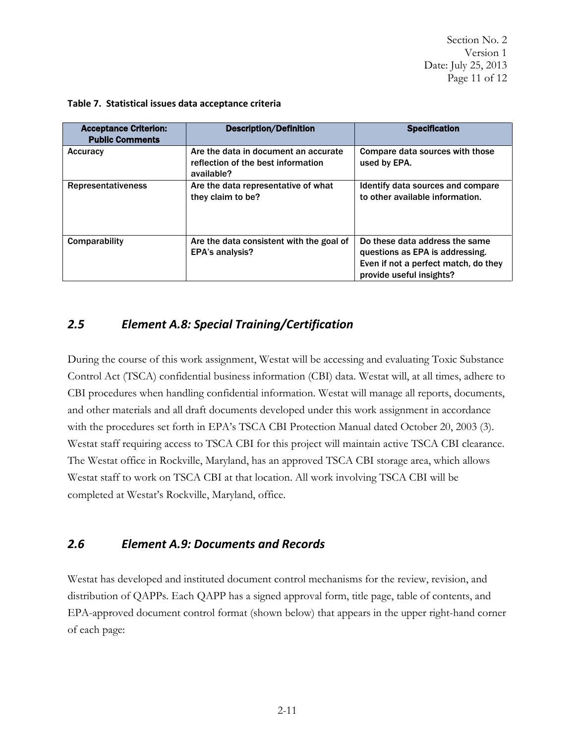Date: July 25, 2013 Page 11 of 12 Section No. 2 Version 1

| <b>Acceptance Criterion:</b><br><b>Public Comments</b> | <b>Description/Definition</b>                                                            | <b>Specification</b>                                                                                                                  |
|--------------------------------------------------------|------------------------------------------------------------------------------------------|---------------------------------------------------------------------------------------------------------------------------------------|
| Accuracy                                               | Are the data in document an accurate<br>reflection of the best information<br>available? | Compare data sources with those<br>used by EPA.                                                                                       |
| <b>Representativeness</b>                              | Are the data representative of what<br>they claim to be?                                 | Identify data sources and compare<br>to other available information.                                                                  |
| Comparability                                          | Are the data consistent with the goal of<br><b>EPA's analysis?</b>                       | Do these data address the same<br>questions as EPA is addressing.<br>Even if not a perfect match, do they<br>provide useful insights? |

#### **Table 7. Statistical issues data acceptance criteria**

# *2.5 Element A.8: Special Training/Certification*

 Control Act (TSCA) confidential business information (CBI) data. Westat will, at all times, adhere to The Westat office in Rockville, Maryland, has an approved TSCA CBI storage area, which allows Westat staff to work on TSCA CBI at that location. All work involving TSCA CBI will be completed at Westat's Rockville, Maryland, office. During the course of this work assignment, Westat will be accessing and evaluating Toxic Substance CBI procedures when handling confidential information. Westat will manage all reports, documents, and other materials and all draft documents developed under this work assignment in accordance with the procedures set forth in EPA's TSCA CBI Protection Manual dated October 20, 2003 (3). Westat staff requiring access to TSCA CBI for this project will maintain active TSCA CBI clearance.

# *2.6 Element A.9: Documents and Records*

Westat has developed and instituted document control mechanisms for the review, revision, and distribution of QAPPs. Each QAPP has a signed approval form, title page, table of contents, and EPA-approved document control format (shown below) that appears in the upper right-hand corner of each page: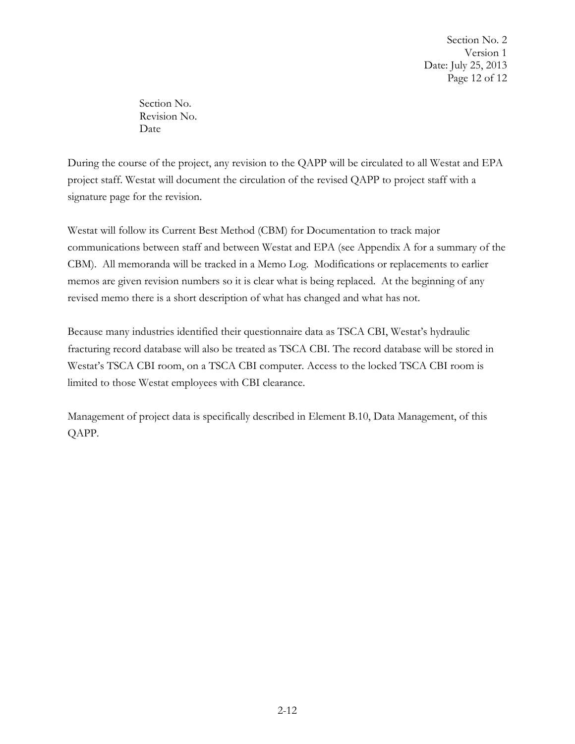Date: July 25, 2013 Page 12 of 12 Section No. 2 Version 1

Section No. Revision No. Date

During the course of the project, any revision to the QAPP will be circulated to all Westat and EPA project staff. Westat will document the circulation of the revised QAPP to project staff with a signature page for the revision.

 Westat will follow its Current Best Method (CBM) for Documentation to track major communications between staff and between Westat and EPA (see Appendix A for a summary of the memos are given revision numbers so it is clear what is being replaced. At the beginning of any revised memo there is a short description of what has changed and what has not. CBM). All memoranda will be tracked in a Memo Log. Modifications or replacements to earlier

Because many industries identified their questionnaire data as TSCA CBI, Westat's hydraulic fracturing record database will also be treated as TSCA CBI. The record database will be stored in Westat's TSCA CBI room, on a TSCA CBI computer. Access to the locked TSCA CBI room is limited to those Westat employees with CBI clearance.

Management of project data is specifically described in Element B.10, Data Management, of this QAPP.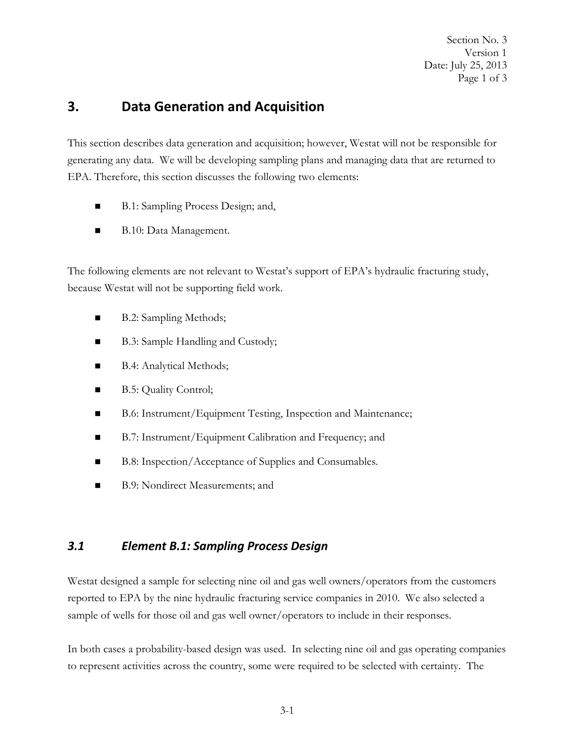Page 1 of 3 Section No. 3 Version 1 Date: July 25, 2013

# <span id="page-19-0"></span> **3. Data Generation and Acquisition**

 generating any data. We will be developing sampling plans and managing data that are returned to This section describes data generation and acquisition; however, Westat will not be responsible for EPA. Therefore, this section discusses the following two elements:

- B.1: Sampling Process Design; and,
- B.10: Data Management.

The following elements are not relevant to Westat's support of EPA's hydraulic fracturing study, because Westat will not be supporting field work.

- B.2: Sampling Methods;
- B.3: Sample Handling and Custody;
- B.4: Analytical Methods;
- B.5: Quality Control;
- B.6: Instrument/Equipment Testing, Inspection and Maintenance;
- B.7: Instrument/Equipment Calibration and Frequency; and
- B.8: Inspection/Acceptance of Supplies and Consumables.
- B.9: Nondirect Measurements; and

#### *3.1 Element B.1: Sampling Process Design*

 Westat designed a sample for selecting nine oil and gas well owners/operators from the customers reported to EPA by the nine hydraulic fracturing service companies in 2010. We also selected a sample of wells for those oil and gas well owner/operators to include in their responses.

 In both cases a probability-based design was used. In selecting nine oil and gas operating companies to represent activities across the country, some were required to be selected with certainty. The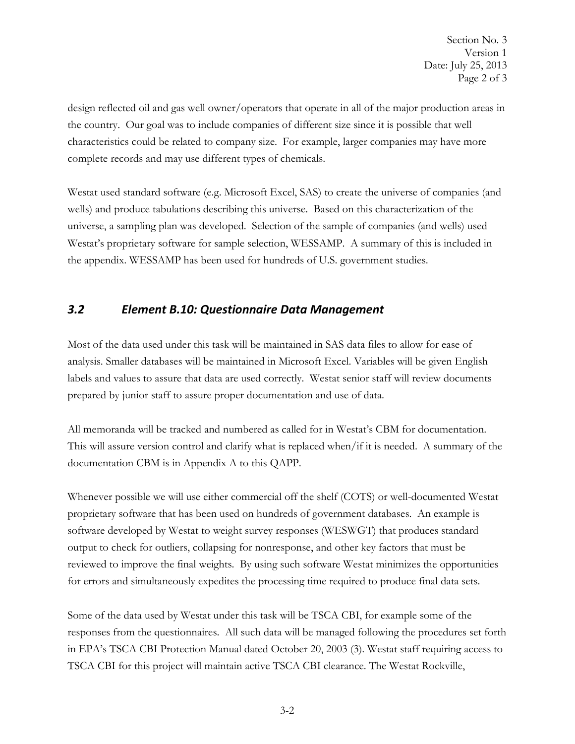Page 2 of 3 Section No. 3 Version 1 Date: July 25, 2013

<span id="page-20-0"></span> design reflected oil and gas well owner/operators that operate in all of the major production areas in the country. Our goal was to include companies of different size since it is possible that well characteristics could be related to company size. For example, larger companies may have more complete records and may use different types of chemicals.

Westat used standard software (e.g. Microsoft Excel, SAS) to create the universe of companies (and wells) and produce tabulations describing this universe. Based on this characterization of the universe, a sampling plan was developed. Selection of the sample of companies (and wells) used Westat's proprietary software for sample selection, WESSAMP. A summary of this is included in the appendix. WESSAMP has been used for hundreds of U.S. government studies.

#### *3.2 Element B.10: Questionnaire Data Management*

 analysis. Smaller databases will be maintained in Microsoft Excel. Variables will be given English Most of the data used under this task will be maintained in SAS data files to allow for ease of labels and values to assure that data are used correctly. Westat senior staff will review documents prepared by junior staff to assure proper documentation and use of data.

All memoranda will be tracked and numbered as called for in Westat's CBM for documentation. documentation CBM is in Appendix A to this QAPP. This will assure version control and clarify what is replaced when/if it is needed. A summary of the

 software developed by Westat to weight survey responses (WESWGT) that produces standard Whenever possible we will use either commercial off the shelf (COTS) or well-documented Westat proprietary software that has been used on hundreds of government databases. An example is output to check for outliers, collapsing for nonresponse, and other key factors that must be reviewed to improve the final weights. By using such software Westat minimizes the opportunities for errors and simultaneously expedites the processing time required to produce final data sets.

Some of the data used by Westat under this task will be TSCA CBI, for example some of the responses from the questionnaires. All such data will be managed following the procedures set forth in EPA's TSCA CBI Protection Manual dated October 20, 2003 (3). Westat staff requiring access to TSCA CBI for this project will maintain active TSCA CBI clearance. The Westat Rockville,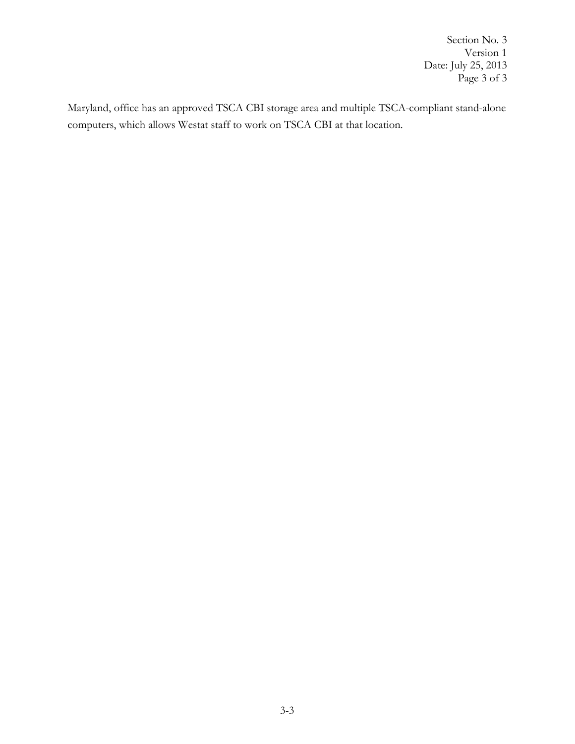Page 3 of 3 Section No. 3 Version 1 Date: July 25, 2013

Maryland, office has an approved TSCA CBI storage area and multiple TSCA-compliant stand-alone computers, which allows Westat staff to work on TSCA CBI at that location.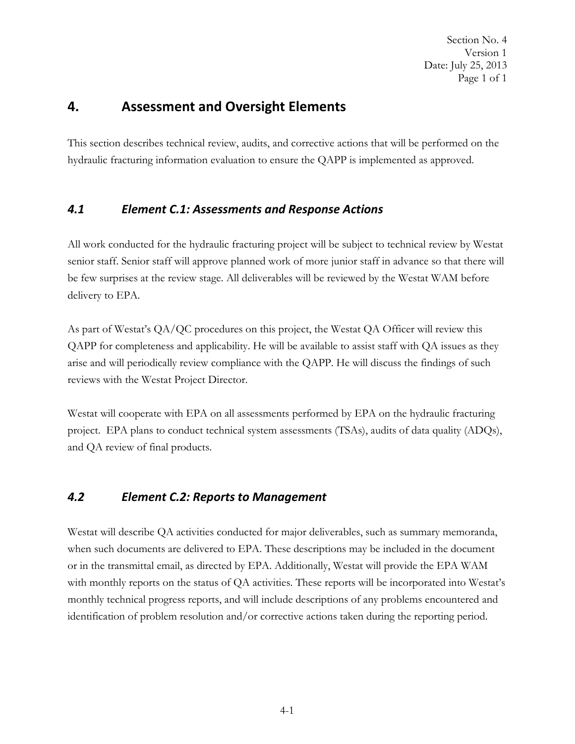Page 1 of 1 Section No. 4 Version 1 Date: July 25, 2013

# <span id="page-22-0"></span> **4. Assessment and Oversight Elements**

 hydraulic fracturing information evaluation to ensure the QAPP is implemented as approved. This section describes technical review, audits, and corrective actions that will be performed on the

# *4.1 Element C.1: Assessments and Response Actions*

 All work conducted for the hydraulic fracturing project will be subject to technical review by Westat senior staff. Senior staff will approve planned work of more junior staff in advance so that there will be few surprises at the review stage. All deliverables will be reviewed by the Westat WAM before delivery to EPA.

As part of Westat's QA/QC procedures on this project, the Westat QA Officer will review this QAPP for completeness and applicability. He will be available to assist staff with QA issues as they arise and will periodically review compliance with the QAPP. He will discuss the findings of such reviews with the Westat Project Director.

Westat will cooperate with EPA on all assessments performed by EPA on the hydraulic fracturing project. EPA plans to conduct technical system assessments (TSAs), audits of data quality (ADQs), and QA review of final products.

# *4.2 Element C.2: Reports to Management*

identification of problem resolution and/or corrective actions taken during the reporting period. Westat will describe QA activities conducted for major deliverables, such as summary memoranda, when such documents are delivered to EPA. These descriptions may be included in the document or in the transmittal email, as directed by EPA. Additionally, Westat will provide the EPA WAM with monthly reports on the status of QA activities. These reports will be incorporated into Westat's monthly technical progress reports, and will include descriptions of any problems encountered and identification of problem resolution and/or corrective actions taken during the reporting period. 4-1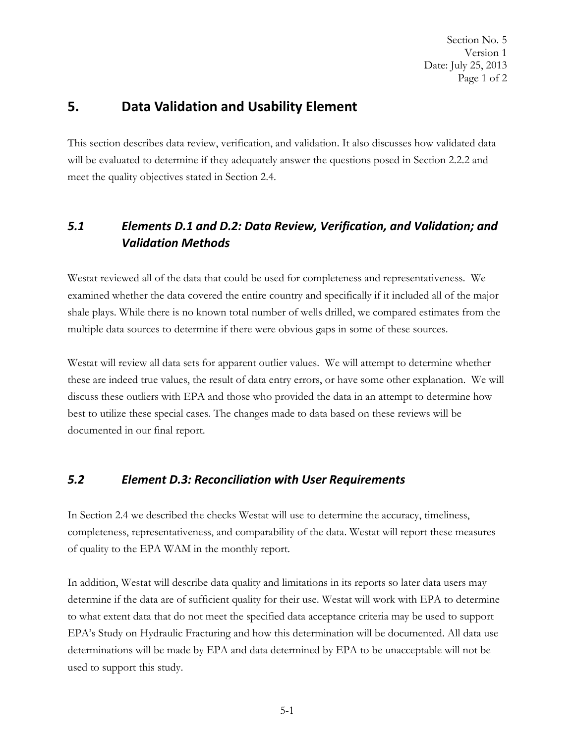# <span id="page-23-0"></span>**5. Data Validation and Usability Element**

 This section describes data review, verification, and validation. It also discusses how validated data will be evaluated to determine if they adequately answer the questions posed in Section 2.2.2 and meet the quality objectives stated in Section 2.4.

# *5.1 Elements D.1 and D.2: Data Review, Verification, and Validation; and Validation Methods*

 examined whether the data covered the entire country and specifically if it included all of the major shale plays. While there is no known total number of wells drilled, we compared estimates from the multiple data sources to determine if there were obvious gaps in some of these sources. Westat reviewed all of the data that could be used for completeness and representativeness. We

Westat will review all data sets for apparent outlier values. We will attempt to determine whether these are indeed true values, the result of data entry errors, or have some other explanation. We will discuss these outliers with EPA and those who provided the data in an attempt to determine how best to utilize these special cases. The changes made to data based on these reviews will be documented in our final report.

# *5.2 Element D.3: Reconciliation with User Requirements*

In Section 2.4 we described the checks Westat will use to determine the accuracy, timeliness, completeness, representativeness, and comparability of the data. Westat will report these measures of quality to the EPA WAM in the monthly report.

 used to support this study. In addition, Westat will describe data quality and limitations in its reports so later data users may determine if the data are of sufficient quality for their use. Westat will work with EPA to determine to what extent data that do not meet the specified data acceptance criteria may be used to support EPA's Study on Hydraulic Fracturing and how this determination will be documented. All data use determinations will be made by EPA and data determined by EPA to be unacceptable will not be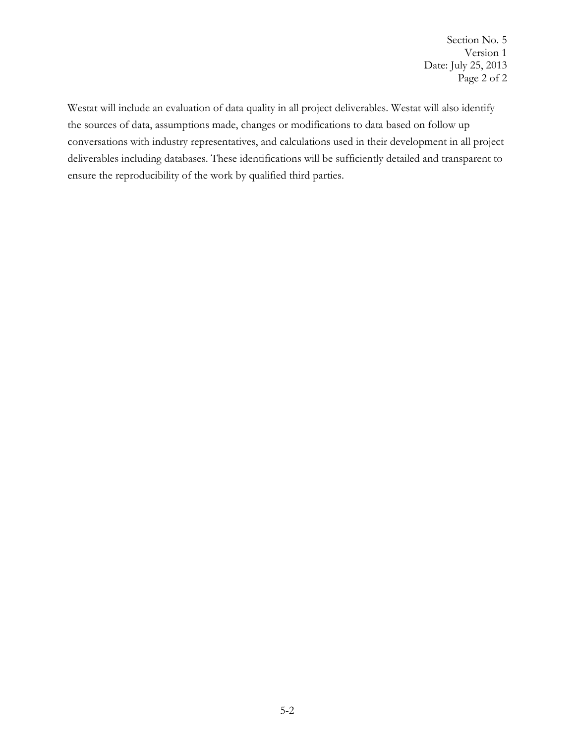Section No. 5 Version 1 Date: July 25, 2013 Page 2 of 2

Westat will include an evaluation of data quality in all project deliverables. Westat will also identify the sources of data, assumptions made, changes or modifications to data based on follow up conversations with industry representatives, and calculations used in their development in all project deliverables including databases. These identifications will be sufficiently detailed and transparent to ensure the reproducibility of the work by qualified third parties.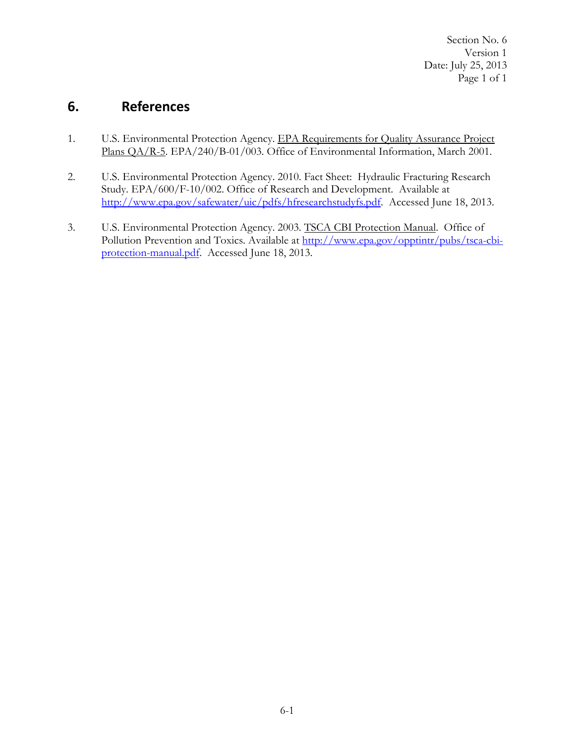Page 1 of 1 Section No. 6 Version 1 Date: July 25, 2013

# <span id="page-25-0"></span>**6. References**

- 1. U.S. Environmental Protection Agency. EPA Requirements for Quality Assurance Project Plans QA/R-5. EPA/240/B-01/003. Office of Environmental Information, March 2001.
- 2. U.S. Environmental Protection Agency. 2010. Fact Sheet: Hydraulic Fracturing Research Study. EPA/600/F-10/002. Office of Research and Development. Available at [http://www.epa.gov/safewater/uic/pdfs/hfresearchstudyfs.pdf.](http://www.epa.gov/safewater/uic/pdfs/hfresearchstudyfs.pdf) Accessed June 18, 2013.
- 3. U.S. Environmental Protection Agency. 2003. TSCA CBI Protection Manual. Office of Pollution Prevention and Toxics. Available at [http://www.epa.gov/opptintr/pubs/tsca-cbi](http://www.epa.gov/opptintr/pubs/tsca-cbi-protection-manual.pdf)[protection-manual.pdf.](http://www.epa.gov/opptintr/pubs/tsca-cbi-protection-manual.pdf) Accessed June 18, 2013.